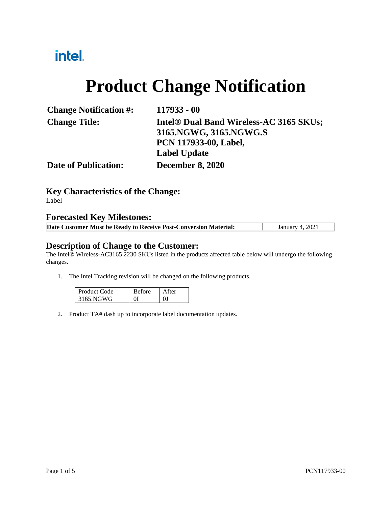## intel.

# **Product Change Notification**

| <b>Change Notification #:</b> | $117933 - 00$                                       |
|-------------------------------|-----------------------------------------------------|
| <b>Change Title:</b>          | Intel <sup>®</sup> Dual Band Wireless-AC 3165 SKUs; |
|                               | 3165.NGWG, 3165.NGWG.S                              |
|                               | <b>PCN 117933-00, Label,</b>                        |
|                               | <b>Label Update</b>                                 |
| <b>Date of Publication:</b>   | <b>December 8, 2020</b>                             |
|                               |                                                     |

**Key Characteristics of the Change:** Label

#### **Forecasted Key Milestones:**

| Date Customer Must be Ready to Receive Post-Conversion Material: | <b>January 4, 2021</b> |
|------------------------------------------------------------------|------------------------|
|                                                                  |                        |

#### **Description of Change to the Customer:**

The Intel® Wireless-AC3165 2230 SKUs listed in the products affected table below will undergo the following changes.

1. The Intel Tracking revision will be changed on the following products.

| Product Code | ≺efore | ter |
|--------------|--------|-----|
| 3165 NGWG    |        |     |

2. Product TA# dash up to incorporate label documentation updates.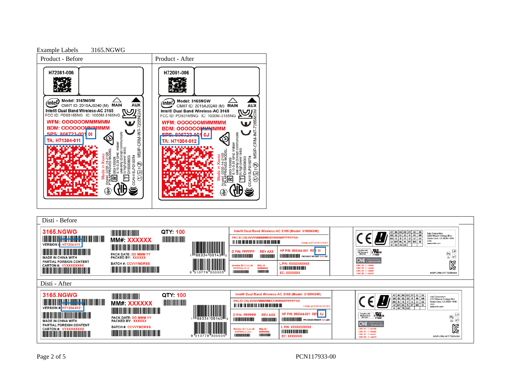

#### Disti - Before **3165.NGWG** QTY: 100 Intel® Dual Band Wireless-AC 3165 (Model: 3165NGW) AT BE BG CH CY CZ DE<br>DK EE EL ES FI FR HR<br>HU IE IS IT LI LT LU<br>LV MT NL PL PT RO SE<br>SI SK TR UK **The Committee of the Committee of the Committee** Intel Corporation<br>2200 Mission College Blvd<br>Santa Clara, CA 95054-1549<br>USA<br>www.intel.com PKG ID (3S) VVVVVMMMMMDDD#####PPPPPP100 MM#: XXXXXX  $\bullet$  1 <u> 111 | 111 | 111 | 111 | 111 | 111 | 111 | 111 | 111 | 111 | 111</u> T P/N: GTTTTTTTTTTTT **VERSION | H71304-011** <u> The Community of the Community of the Community of the Community of the Community of the Community of the Community of the Community of the Community of the Community of the Community of the Community of the Community of</u> <u> Harry Harry Harry Harry Harry Harry Harry Harry Harry Harry Harry Harry Harry Harry Harry Harry Harry Harry Harry Harry Harry Harry Harry Harry Harry Harry Harry Harry Harry Harry Harry Harry Harry Harry Harry Harry Harr</u> HP P/N: 803344-001 RE  $\overline{\mathbf{0}}$ Complies with<br>DA Standards CH178889 **D P/N: PPPPPP REVAXX**  $\overline{\mathsf{H}}$  $\frac{CD}{2L}$  $\frac{CD}{2L}$ PACK DATE: <mark>DD MMM YY</mark><br>PACKED BY: XXXXXX **The Community HILLI HILLI HILLI PACKAGE WEIGHT: XXLE MADE IN CHINA WITH CNC** PARTIAL FOREIGN CONTENT  $\boxtimes$ **BATCH #: CCVVYMDRSS** P/N: XXXXXXXXXX CARTON #: VVXXXXXX) /endor ID | Loc Id<br>VVVVV|LLLLL Mfg Id ENC ID: 0 <u> III de la componenta de la compo</u> <u> Tanzania (h. 1888).</u> CNC ID: C-14446<br>CNC ID: C-14441 <u> The Community of the Community of the Community of the Community of the Community of the Community of the Community of the Community of the Community of the Community of the Community of the Community of the Community of</u> **HITTING OF HILLING** EC: XXXXXXX MSIP-CRM-INT-7265NGW **CNC ID: C-14473** Disti - AfterQTY: 100 Intel® Dual Band Wireless-AC 3165 (Model: 3165NGW) **3165.NGWG** <u> Indian American Indian Indian Indian Indian Indian Indian Indian Indian Indian Indian Indian Indian Indian In</u> Intel Corporation<br>2200 Mission College Blvd<br>Santa Clara, CA 95054-1549<br>USA<br>www.intel.com PKG ID (3S) VVVVVMMMMMDDD###### PPPPPP100 MM#: XXXXXX ó, <u> 111 | 111 | 111 | 111 | 111 | 111 | 111 | 111 | 111 | 111 | 111 | 111 | 111 | 111 | 111 | 111 | 111 | 111 | 1</u> T P/N: GTTTTTTTTTTTT VERSION # H71304-012 <u> Indian American State (Indian American Sta</u> <u> Handi ka matsayin ka matsayin ka matsayin ka matsayin ka matsayin ka matsayin ka matsayin ka matsayin ka matsayin ka matsayin ka matsayin ka matsayin ka matsayin ka matsayin ka matsayin ka matsayin ka matsayin ka matsayi</u> HP P/N: 803344-001 REV: 0J  $\left(\begin{matrix} 1 \\ 0 \\ 2 \end{matrix}\right)$   $\left(\begin{matrix} 1 \\ 6 \end{matrix}\right)$ D P/N: PPPPPP **REV AXX** Complies with<br>IDA Standards<br>- DR 02941 PACK DATE: DD MMM YY<br>PACKED BY: XXXXXX *<u>ALLEN BURGHAMEN</u>* **THE REAL PROPERTY WEIGHT: A CHANGE WEIGHT: XX LBS MADE IN CHINA WITH CNC** PARTIAL FOREIGN CONTENT  $\boxtimes$ **BATCH #: CCVVYMDRSS P/N: XXXXXXXXXX** endor ID | Loc Id<br>VVVVV|LLLLL CNC ID: C-14446<br>CNC ID: C-14446<br>CNC ID: C-14441<br>CNC ID: C-14473 CARTON # VVXXXXXXXX Mfg Id<br>MMMMM<br>|||||||||||||||| <u> Timba ka masa sa mga katalog ng mga katalog ng mga katalog ng mga katalog ng mga katalog ng mga katalog ng mga katalog ng mga katalog ng mga katalog ng mga katalog ng mga katalog ng mga katalog ng mga katalog ng mga kata</u> **THE REAL PROPERTY AND I** <u> Tanzania (1989)</u> *<u>URIORIS DE L</u>* EC: XXXXXXX '300005 MSIP-CRM-INT-7265NGW

Page 2 of 5 PCN117933-00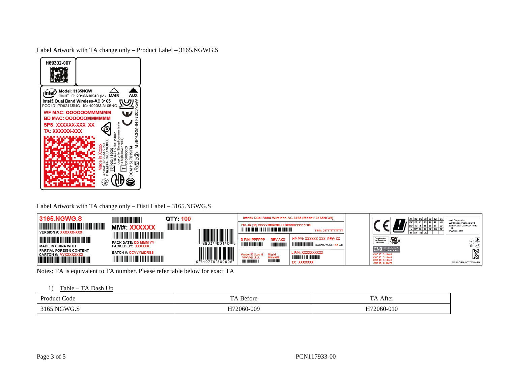Label Artwork with TA change only – Product Label – 3165.NGWG.S

| H69302-007                                                                                                                                   |
|----------------------------------------------------------------------------------------------------------------------------------------------|
| Model: 3165NGW<br>inte<br><b>MAIN</b><br>CMIIT ID: 2015AJ0240 (M)<br>Intel® Dual Band Wireless-AC 3165<br>FCC ID: PD93165NG IC: 1000M-3165NG |
| <b>WF MAC: OOOOOOMMMMMM</b><br><b>BD MAC: OOOOOOMMMMMM</b><br>SPS: XXXXXX-XXX  XX                                                            |
| TA: XXXXXX-XXX<br>$_{\rm NSP}^{\rm NP}$                                                                                                      |
| AH15LP0190T4<br>D150008003<br>Pt<br>agin o:<br>ăí<br>LH                                                                                      |
| ei                                                                                                                                           |

Label Artwork with TA change only – Disti Label – 3165.NGWG.S

| 3165.NGWG.S<br>WIND<br><u> III Martin Martin Martin Martin Martin Martin </u><br><b>VERSION #: XXXXXX-XXX</b> | MM#: XXXXXX                                                                     | QTY: 100<br><b>TILLE</b> |                    | PKG ID (3S) VVVVVMMMMMDDD######PPPPPP100        |                         | Intel® Dual Band Wireless-AC 3165 (Model: 3165NGW)                                                                                                        | EE   EL<br><b>ILV MT NL</b><br><b>SK TR</b>                                                                  | AT BE BG CH CY CZ DE<br>Intel Corporation<br>2200 Mission College Blvd<br>Santa Clara, CA 95054-1549<br>USA<br>www.intel.com |
|---------------------------------------------------------------------------------------------------------------|---------------------------------------------------------------------------------|--------------------------|--------------------|-------------------------------------------------|-------------------------|-----------------------------------------------------------------------------------------------------------------------------------------------------------|--------------------------------------------------------------------------------------------------------------|------------------------------------------------------------------------------------------------------------------------------|
| <b>The Common</b><br><b>The Committee of the Committee of the Committee</b><br><b>MADE IN CHINA WITH</b>      | <u> Tanzania (h. 1888).</u><br><b>PACK DATE: DD MMM YY</b><br>PACKED BY: XXXXXX |                          |                    | D P/N: PPPPPP<br><b>Little Designation</b>      | <b>REV AXX</b><br>HIIII | HP P/N: XXXXXX-XXX REV: XX<br><b>WE ARE AN ABOVE SET AND IN THE PACKAGE WEIGHT: X.X LBS</b>                                                               | $\cdot \sum_{\text{E17862}}$ us<br>Complies with<br>IDA Štandards<br>DB 02941<br><b>CNG</b> COMISIÓN NACIONA | H<br>(e1)                                                                                                                    |
| PARTIAL FOREIGN CONTENT<br><b>CARTON #: VVXXXXXXXX</b>                                                        | <b>BATCH #: CCVVYMDRSS</b><br><u> Timbul Manazarta (</u>                        |                          | "310779<br>"300005 | <b>Vendor ID I Loc Id</b><br><b>VVVVVILLLLI</b> | Mfg Id<br><b>MMMMM</b>  | L P/N: XXXXXXXXXX<br><u> III din bilan bilan bilan bilan bilan bilan bilan bilan bilan bilan bilan bilan bilan bilan bilan bilan bilan</u><br>EC: XXXXXXX | <b>CNC ID: C-14446</b><br><b>CNC ID: C-14446</b><br><b>CNC ID: C-14441</b><br><b>CNC ID: C-14473</b>         | 図<br>MSIP-CRM-INT-7265NGW                                                                                                    |

Notes: TA is equivalent to TA number. Please refer table below for exact TA

1) Table – TA Dash Up

| Produci | $\mathbf{r}$ | $\sim$                                                           |
|---------|--------------|------------------------------------------------------------------|
| Code    | efore        | After                                                            |
|         |              |                                                                  |
| ں ت     | H72060-009   | $\sim$ 4 $\sim$<br>ے کہ ا<br>$^{\prime\prime}$ in U-U $_{\rm L}$ |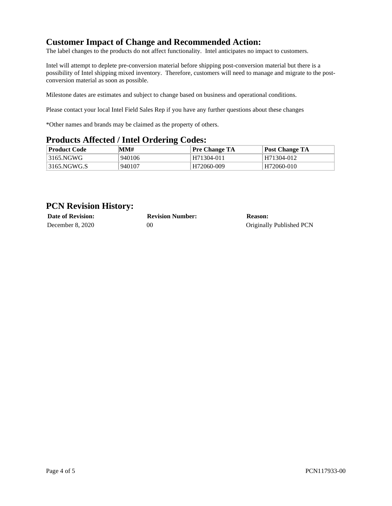### **Customer Impact of Change and Recommended Action:**

The label changes to the products do not affect functionality. Intel anticipates no impact to customers.

Intel will attempt to deplete pre-conversion material before shipping post-conversion material but there is a possibility of Intel shipping mixed inventory. Therefore, customers will need to manage and migrate to the postconversion material as soon as possible.

Milestone dates are estimates and subject to change based on business and operational conditions.

Please contact your local Intel Field Sales Rep if you have any further questions about these changes

\*Other names and brands may be claimed as the property of others.

#### **Products Affected / Intel Ordering Codes:**

| <b>Product Code</b> | MM#    | <b>Pre Change TA</b> | Post Change TA |
|---------------------|--------|----------------------|----------------|
| 3165.NGWG           | 940106 | H71304-011           | H71304-012     |
| 3165.NGWG.S         | 940107 | H72060-009           | H72060-010     |

#### **PCN Revision History:**

| <b>Date of Revision:</b> | <b>Revision Number:</b> | Reason:                  |
|--------------------------|-------------------------|--------------------------|
| December 8, 2020         | 00                      | Originally Published PCN |